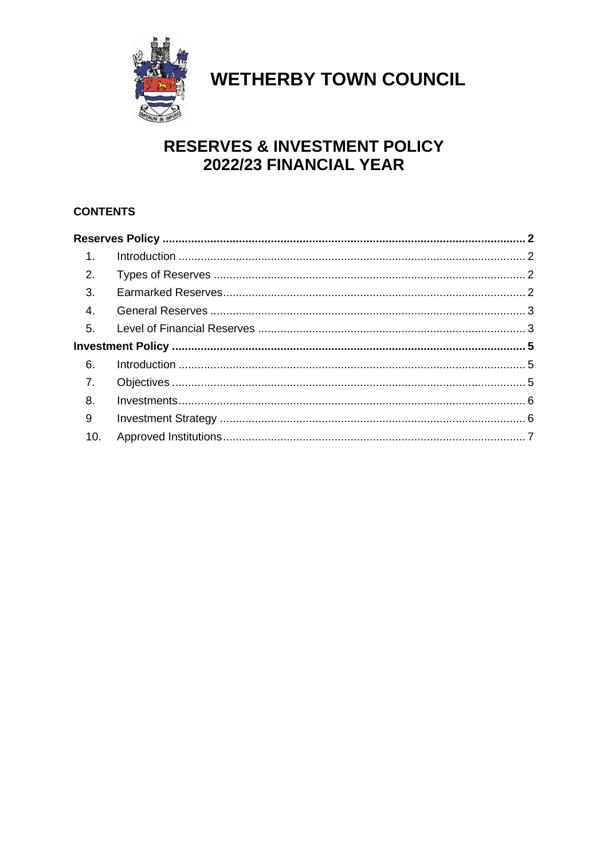

# **WETHERBY TOWN COUNCIL**

### **RESERVES & INVESTMENT POLICY** 2022/23 FINANCIAL YEAR

#### **CONTENTS**

| 1 <sub>1</sub> |  |  |
|----------------|--|--|
| 2.             |  |  |
| 3.             |  |  |
| 4.             |  |  |
| 5 <sub>1</sub> |  |  |
|                |  |  |
| 6.             |  |  |
| 7.             |  |  |
| 8.             |  |  |
| 9              |  |  |
|                |  |  |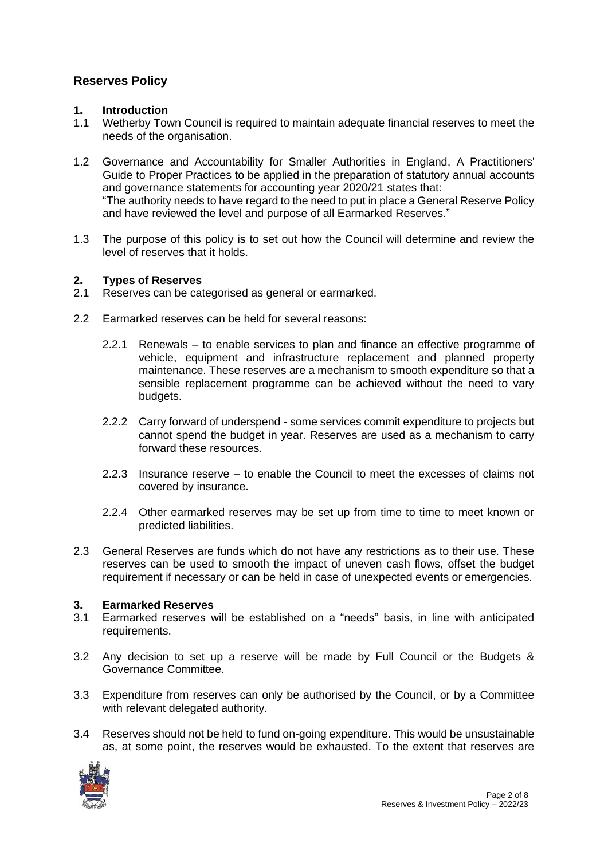#### <span id="page-1-0"></span>**Reserves Policy**

#### <span id="page-1-1"></span>**1. Introduction**

- 1.1 Wetherby Town Council is required to maintain adequate financial reserves to meet the needs of the organisation.
- 1.2 Governance and Accountability for Smaller Authorities in England, A Practitioners' Guide to Proper Practices to be applied in the preparation of statutory annual accounts and governance statements for accounting year 2020/21 states that: "The authority needs to have regard to the need to put in place a General Reserve Policy and have reviewed the level and purpose of all Earmarked Reserves."
- 1.3 The purpose of this policy is to set out how the Council will determine and review the level of reserves that it holds.

# <span id="page-1-2"></span>**2. Types of Reserves**

- Reserves can be categorised as general or earmarked.
- 2.2 Earmarked reserves can be held for several reasons:
	- 2.2.1 Renewals to enable services to plan and finance an effective programme of vehicle, equipment and infrastructure replacement and planned property maintenance. These reserves are a mechanism to smooth expenditure so that a sensible replacement programme can be achieved without the need to vary budgets.
	- 2.2.2 Carry forward of underspend some services commit expenditure to projects but cannot spend the budget in year. Reserves are used as a mechanism to carry forward these resources.
	- 2.2.3 Insurance reserve to enable the Council to meet the excesses of claims not covered by insurance.
	- 2.2.4 Other earmarked reserves may be set up from time to time to meet known or predicted liabilities.
- 2.3 General Reserves are funds which do not have any restrictions as to their use. These reserves can be used to smooth the impact of uneven cash flows, offset the budget requirement if necessary or can be held in case of unexpected events or emergencies.

#### <span id="page-1-3"></span>**3. Earmarked Reserves**

- 3.1 Earmarked reserves will be established on a "needs" basis, in line with anticipated requirements.
- 3.2 Any decision to set up a reserve will be made by Full Council or the Budgets & Governance Committee.
- 3.3 Expenditure from reserves can only be authorised by the Council, or by a Committee with relevant delegated authority.
- 3.4 Reserves should not be held to fund on-going expenditure. This would be unsustainable as, at some point, the reserves would be exhausted. To the extent that reserves are

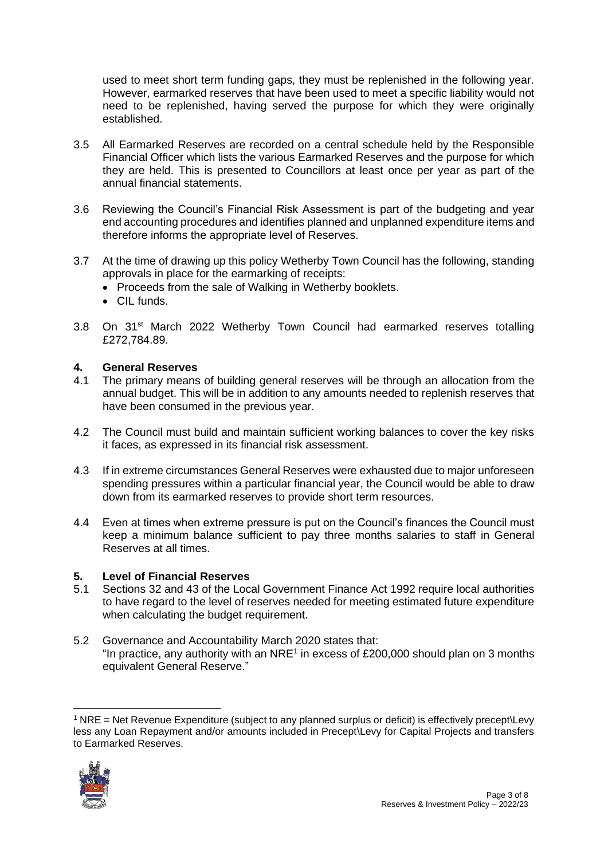used to meet short term funding gaps, they must be replenished in the following year. However, earmarked reserves that have been used to meet a specific liability would not need to be replenished, having served the purpose for which they were originally established.

- 3.5 All Earmarked Reserves are recorded on a central schedule held by the Responsible Financial Officer which lists the various Earmarked Reserves and the purpose for which they are held. This is presented to Councillors at least once per year as part of the annual financial statements.
- 3.6 Reviewing the Council's Financial Risk Assessment is part of the budgeting and year end accounting procedures and identifies planned and unplanned expenditure items and therefore informs the appropriate level of Reserves.
- 3.7 At the time of drawing up this policy Wetherby Town Council has the following, standing approvals in place for the earmarking of receipts:
	- Proceeds from the sale of Walking in Wetherby booklets.
	- CIL funds.
- 3.8 On 31<sup>st</sup> March 2022 Wetherby Town Council had earmarked reserves totalling £272,784.89.

#### <span id="page-2-0"></span>**4. General Reserves**

- 4.1 The primary means of building general reserves will be through an allocation from the annual budget. This will be in addition to any amounts needed to replenish reserves that have been consumed in the previous year.
- 4.2 The Council must build and maintain sufficient working balances to cover the key risks it faces, as expressed in its financial risk assessment.
- 4.3 If in extreme circumstances General Reserves were exhausted due to major unforeseen spending pressures within a particular financial year, the Council would be able to draw down from its earmarked reserves to provide short term resources.
- 4.4 Even at times when extreme pressure is put on the Council's finances the Council must keep a minimum balance sufficient to pay three months salaries to staff in General Reserves at all times.

## <span id="page-2-1"></span>**5. Level of Financial Reserves**

- Sections 32 and 43 of the Local Government Finance Act 1992 require local authorities to have regard to the level of reserves needed for meeting estimated future expenditure when calculating the budget requirement.
- 5.2 Governance and Accountability March 2020 states that: "In practice, any authority with an NRE<sup>1</sup> in excess of £200,000 should plan on 3 months equivalent General Reserve."

<sup>1</sup> NRE = Net Revenue Expenditure (subject to any planned surplus or deficit) is effectively precept\Levy less any Loan Repayment and/or amounts included in Precept\Levy for Capital Projects and transfers to Earmarked Reserves.

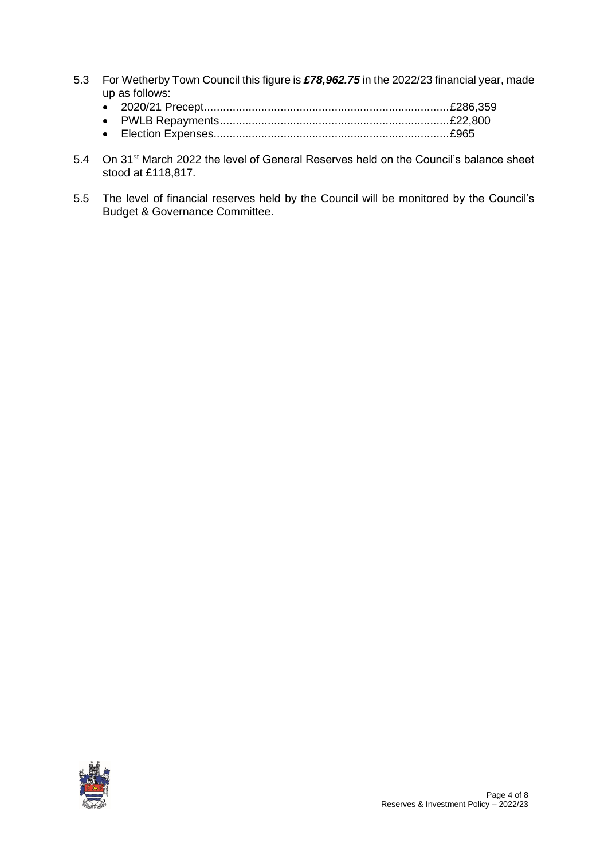- 5.3 For Wetherby Town Council this figure is *£78,962.75* in the 2022/23 financial year, made up as follows:
	- 2020/21 Precept.............................................................................£286,359
	- PWLB Repayments........................................................................£22,800
	- Election Expenses..........................................................................£965
- 5.4 On 31<sup>st</sup> March 2022 the level of General Reserves held on the Council's balance sheet stood at £118,817.
- 5.5 The level of financial reserves held by the Council will be monitored by the Council's Budget & Governance Committee.

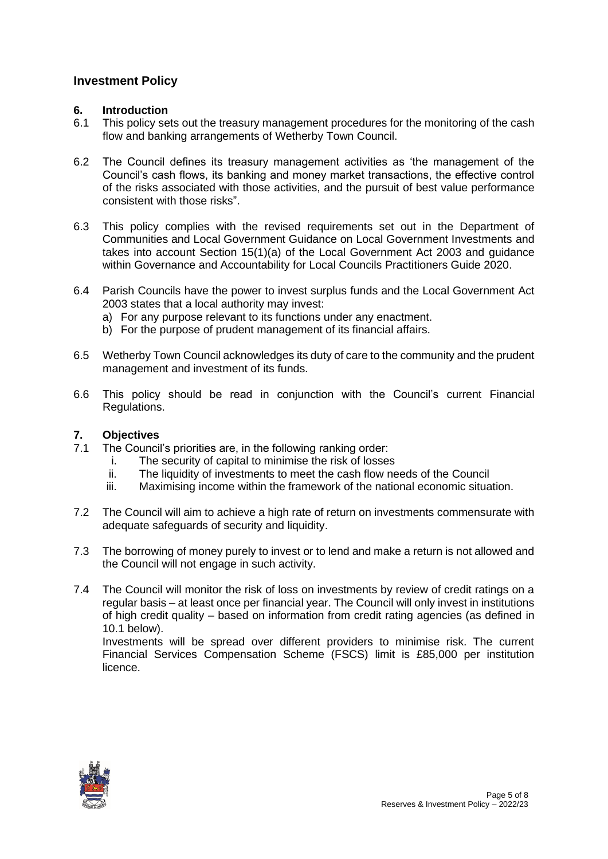#### <span id="page-4-0"></span>**Investment Policy**

#### <span id="page-4-1"></span>**6. Introduction**

- 6.1 This policy sets out the treasury management procedures for the monitoring of the cash flow and banking arrangements of Wetherby Town Council.
- 6.2 The Council defines its treasury management activities as 'the management of the Council's cash flows, its banking and money market transactions, the effective control of the risks associated with those activities, and the pursuit of best value performance consistent with those risks".
- 6.3 This policy complies with the revised requirements set out in the Department of Communities and Local Government Guidance on Local Government Investments and takes into account Section 15(1)(a) of the Local Government Act 2003 and guidance within Governance and Accountability for Local Councils Practitioners Guide 2020.
- 6.4 Parish Councils have the power to invest surplus funds and the Local Government Act 2003 states that a local authority may invest:
	- a) For any purpose relevant to its functions under any enactment.
	- b) For the purpose of prudent management of its financial affairs.
- 6.5 Wetherby Town Council acknowledges its duty of care to the community and the prudent management and investment of its funds.
- 6.6 This policy should be read in conjunction with the Council's current Financial Regulations.

#### <span id="page-4-2"></span>**7. Objectives**

- 7.1 The Council's priorities are, in the following ranking order:
	- i. The security of capital to minimise the risk of losses
	- ii. The liquidity of investments to meet the cash flow needs of the Council<br>iii. Maximising income within the framework of the national economic situal
	- Maximising income within the framework of the national economic situation.
- 7.2 The Council will aim to achieve a high rate of return on investments commensurate with adequate safeguards of security and liquidity.
- 7.3 The borrowing of money purely to invest or to lend and make a return is not allowed and the Council will not engage in such activity.
- 7.4 The Council will monitor the risk of loss on investments by review of credit ratings on a regular basis – at least once per financial year. The Council will only invest in institutions of high credit quality – based on information from credit rating agencies (as defined in 10.1 below).

Investments will be spread over different providers to minimise risk. The current Financial Services Compensation Scheme (FSCS) limit is £85,000 per institution licence.

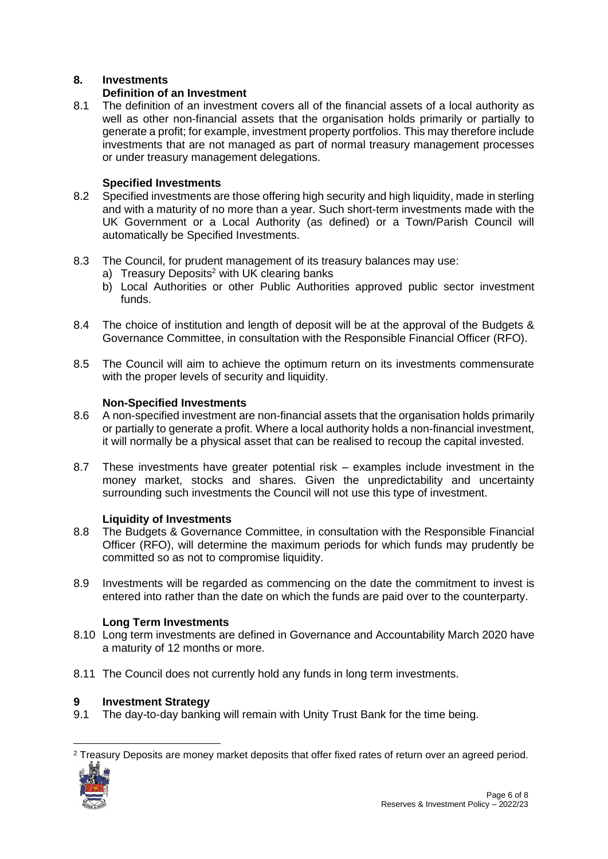#### <span id="page-5-0"></span>**8. Investments**

#### **Definition of an Investment**

8.1 The definition of an investment covers all of the financial assets of a local authority as well as other non-financial assets that the organisation holds primarily or partially to generate a profit; for example, investment property portfolios. This may therefore include investments that are not managed as part of normal treasury management processes or under treasury management delegations.

#### **Specified Investments**

- 8.2 Specified investments are those offering high security and high liquidity, made in sterling and with a maturity of no more than a year. Such short-term investments made with the UK Government or a Local Authority (as defined) or a Town/Parish Council will automatically be Specified Investments.
- 8.3 The Council, for prudent management of its treasury balances may use:
	- a) Treasury Deposits<sup>2</sup> with UK clearing banks
	- b) Local Authorities or other Public Authorities approved public sector investment funds.
- 8.4 The choice of institution and length of deposit will be at the approval of the Budgets & Governance Committee, in consultation with the Responsible Financial Officer (RFO).
- 8.5 The Council will aim to achieve the optimum return on its investments commensurate with the proper levels of security and liquidity.

#### **Non-Specified Investments**

- 8.6 A non-specified investment are non-financial assets that the organisation holds primarily or partially to generate a profit. Where a local authority holds a non-financial investment, it will normally be a physical asset that can be realised to recoup the capital invested.
- 8.7 These investments have greater potential risk examples include investment in the money market, stocks and shares. Given the unpredictability and uncertainty surrounding such investments the Council will not use this type of investment.

#### **Liquidity of Investments**

- 8.8 The Budgets & Governance Committee, in consultation with the Responsible Financial Officer (RFO), will determine the maximum periods for which funds may prudently be committed so as not to compromise liquidity.
- 8.9 Investments will be regarded as commencing on the date the commitment to invest is entered into rather than the date on which the funds are paid over to the counterparty.

#### **Long Term Investments**

- 8.10 Long term investments are defined in Governance and Accountability March 2020 have a maturity of 12 months or more.
- 8.11 The Council does not currently hold any funds in long term investments.

#### <span id="page-5-1"></span>**9 Investment Strategy**

9.1 The day-to-day banking will remain with Unity Trust Bank for the time being.

 $2$  Treasury Deposits are money market deposits that offer fixed rates of return over an agreed period.

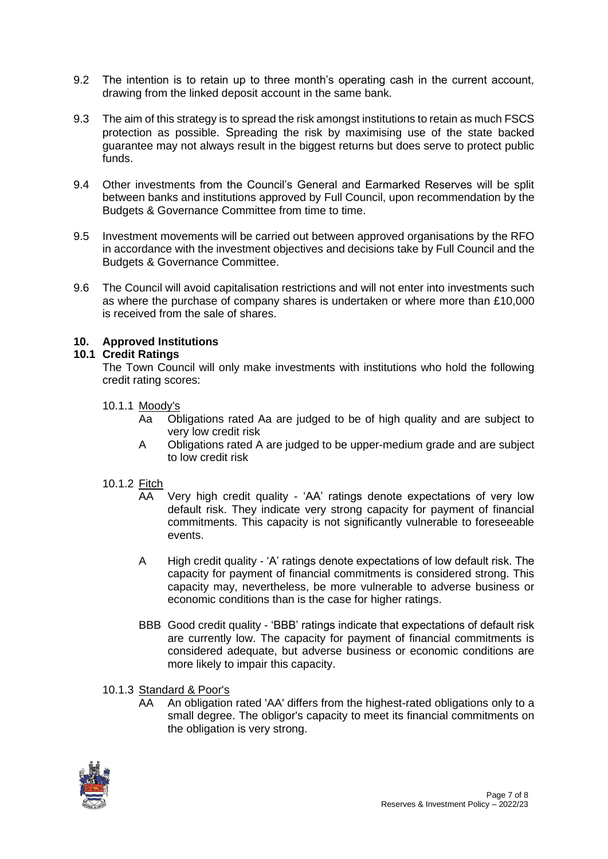- 9.2 The intention is to retain up to three month's operating cash in the current account, drawing from the linked deposit account in the same bank.
- 9.3 The aim of this strategy is to spread the risk amongst institutions to retain as much FSCS protection as possible. Spreading the risk by maximising use of the state backed guarantee may not always result in the biggest returns but does serve to protect public funds.
- 9.4 Other investments from the Council's General and Earmarked Reserves will be split between banks and institutions approved by Full Council, upon recommendation by the Budgets & Governance Committee from time to time.
- 9.5 Investment movements will be carried out between approved organisations by the RFO in accordance with the investment objectives and decisions take by Full Council and the Budgets & Governance Committee.
- 9.6 The Council will avoid capitalisation restrictions and will not enter into investments such as where the purchase of company shares is undertaken or where more than £10,000 is received from the sale of shares.

#### <span id="page-6-0"></span>**10. Approved Institutions**

#### **10.1 Credit Ratings**

The Town Council will only make investments with institutions who hold the following credit rating scores:

#### 10.1.1 Moody's

- Aa Obligations rated Aa are judged to be of high quality and are subject to very low credit risk
- A Obligations rated A are judged to be upper-medium grade and are subject to low credit risk

#### 10.1.2 Fitch

- AA Very high credit quality 'AA' ratings denote expectations of very low default risk. They indicate very strong capacity for payment of financial commitments. This capacity is not significantly vulnerable to foreseeable events.
- A High credit quality 'A' ratings denote expectations of low default risk. The capacity for payment of financial commitments is considered strong. This capacity may, nevertheless, be more vulnerable to adverse business or economic conditions than is the case for higher ratings.
- BBB Good credit quality 'BBB' ratings indicate that expectations of default risk are currently low. The capacity for payment of financial commitments is considered adequate, but adverse business or economic conditions are more likely to impair this capacity.
- 10.1.3 Standard & Poor's
	- AA An obligation rated 'AA' differs from the highest-rated obligations only to a small degree. The obligor's capacity to meet its financial commitments on the obligation is very strong.